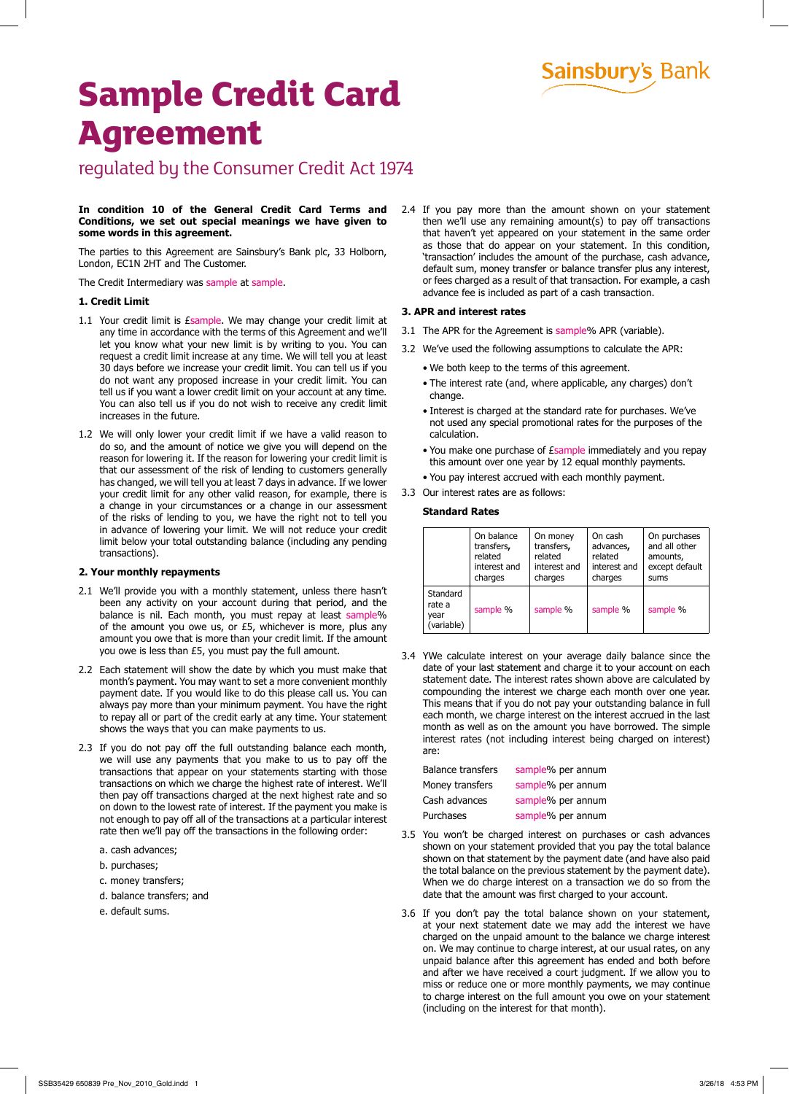# **Sainsbury's Bank**

# **Sample Credit Card Agreement**

# regulated by the Consumer Credit Act 1974

#### **In condition 10 of the General Credit Card Terms and Conditions, we set out special meanings we have given to some words in this agreement.**

The parties to this Agreement are Sainsbury's Bank plc, 33 Holborn, London, EC1N 2HT and The Customer.

The Credit Intermediary was sample at sample.

### **1. Credit Limit**

- 1.1 Your credit limit is *Esample*. We may change your credit limit at any time in accordance with the terms of this Agreement and we'll let you know what your new limit is by writing to you. You can request a credit limit increase at any time. We will tell you at least 30 days before we increase your credit limit. You can tell us if you do not want any proposed increase in your credit limit. You can tell us if you want a lower credit limit on your account at any time. You can also tell us if you do not wish to receive any credit limit increases in the future.
- 1.2 We will only lower your credit limit if we have a valid reason to do so, and the amount of notice we give you will depend on the reason for lowering it. If the reason for lowering your credit limit is that our assessment of the risk of lending to customers generally has changed, we will tell you at least 7 days in advance. If we lower your credit limit for any other valid reason, for example, there is a change in your circumstances or a change in our assessment of the risks of lending to you, we have the right not to tell you in advance of lowering your limit. We will not reduce your credit limit below your total outstanding balance (including any pending transactions).

### **2. Your monthly repayments**

- 2.1 We'll provide you with a monthly statement, unless there hasn't been any activity on your account during that period, and the balance is nil. Each month, you must repay at least sample% of the amount you owe us, or £5, whichever is more, plus any amount you owe that is more than your credit limit. If the amount you owe is less than £5, you must pay the full amount.
- 2.2 Each statement will show the date by which you must make that month's payment. You may want to set a more convenient monthly payment date. If you would like to do this please call us. You can always pay more than your minimum payment. You have the right to repay all or part of the credit early at any time. Your statement shows the ways that you can make payments to us.
- 2.3 If you do not pay off the full outstanding balance each month, we will use any payments that you make to us to pay off the transactions that appear on your statements starting with those transactions on which we charge the highest rate of interest. We'll then pay off transactions charged at the next highest rate and so on down to the lowest rate of interest. If the payment you make is not enough to pay off all of the transactions at a particular interest rate then we'll pay off the transactions in the following order:
	- a. cash advances;
	- b. purchases;
	- c. money transfers;
	- d. balance transfers; and
	- e. default sums.

2.4 If you pay more than the amount shown on your statement then we'll use any remaining amount(s) to pay off transactions that haven't yet appeared on your statement in the same order as those that do appear on your statement. In this condition, 'transaction' includes the amount of the purchase, cash advance, default sum, money transfer or balance transfer plus any interest, or fees charged as a result of that transaction. For example, a cash advance fee is included as part of a cash transaction.

# **3. APR and interest rates**

- 3.1 The APR for the Agreement is sample% APR (variable).
- 3.2 We've used the following assumptions to calculate the APR:
	- We both keep to the terms of this agreement.
	- The interest rate (and, where applicable, any charges) don't change.
	- Interest is charged at the standard rate for purchases. We've not used any special promotional rates for the purposes of the calculation.
	- You make one purchase of £sample immediately and you repay this amount over one year by 12 equal monthly payments.
	- You pay interest accrued with each monthly payment.
- 3.3 Our interest rates are as follows:

# **Standard Rates**

|                                          | On balance   | On money     | On cash      | On purchases   |
|------------------------------------------|--------------|--------------|--------------|----------------|
|                                          | transfers,   | transfers,   | advances,    | and all other  |
|                                          | related      | related      | related      | amounts,       |
|                                          | interest and | interest and | interest and | except default |
|                                          | charges      | charges      | charges      | sums           |
| Standard<br>rate a<br>year<br>(variable) | sample %     | sample %     | sample %     | sample %       |

3.4 YWe calculate interest on your average daily balance since the date of your last statement and charge it to your account on each statement date. The interest rates shown above are calculated by compounding the interest we charge each month over one year. This means that if you do not pay your outstanding balance in full each month, we charge interest on the interest accrued in the last month as well as on the amount you have borrowed. The simple interest rates (not including interest being charged on interest) are:

| <b>Balance transfers</b> | sample% per annum |
|--------------------------|-------------------|
| Money transfers          | sample% per annum |
| Cash advances            | sample% per annum |
| Purchases                | sample% per annum |

- 3.5 You won't be charged interest on purchases or cash advances shown on your statement provided that you pay the total balance shown on that statement by the payment date (and have also paid the total balance on the previous statement by the payment date). When we do charge interest on a transaction we do so from the date that the amount was first charged to your account.
- 3.6 If you don't pay the total balance shown on your statement, at your next statement date we may add the interest we have charged on the unpaid amount to the balance we charge interest on. We may continue to charge interest, at our usual rates, on any unpaid balance after this agreement has ended and both before and after we have received a court judgment. If we allow you to miss or reduce one or more monthly payments, we may continue to charge interest on the full amount you owe on your statement (including on the interest for that month).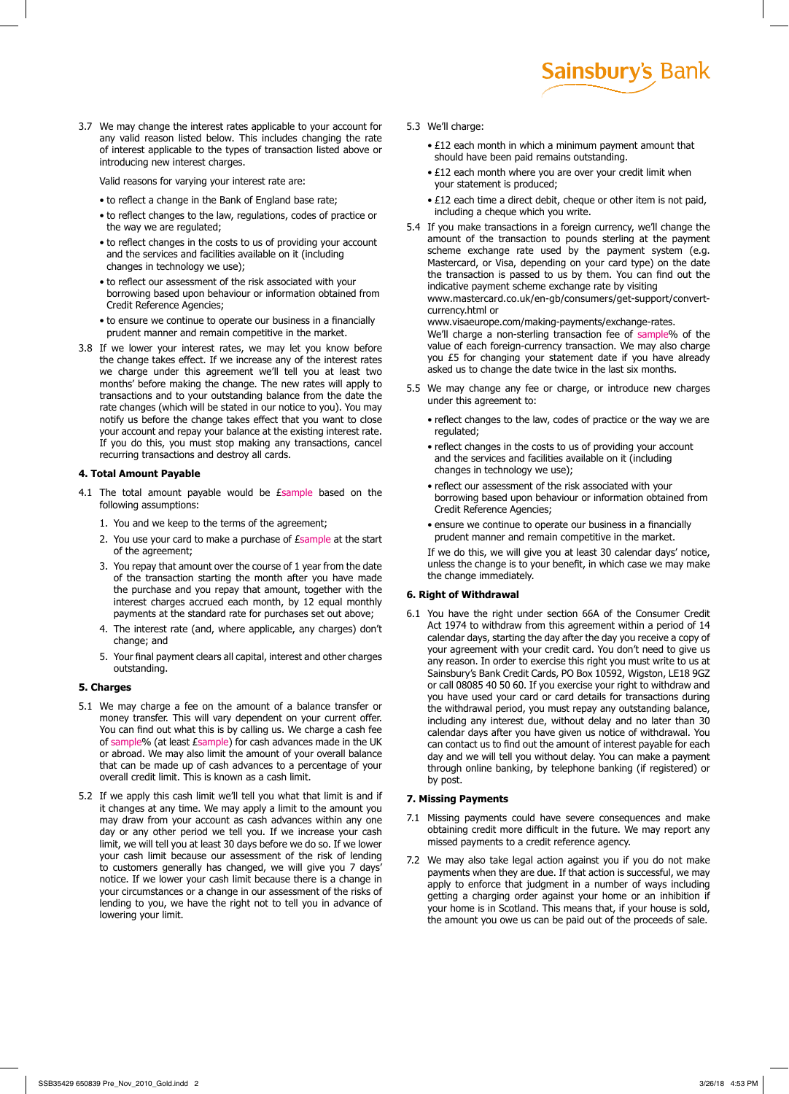3.7 We may change the interest rates applicable to your account for any valid reason listed below. This includes changing the rate of interest applicable to the types of transaction listed above or introducing new interest charges.

Valid reasons for varying your interest rate are:

- to reflect a change in the Bank of England base rate;
- to reflect changes to the law, regulations, codes of practice or the way we are regulated;
- to reflect changes in the costs to us of providing your account and the services and facilities available on it (including changes in technology we use);
- to reflect our assessment of the risk associated with your borrowing based upon behaviour or information obtained from Credit Reference Agencies;
- to ensure we continue to operate our business in a financially prudent manner and remain competitive in the market.
- 3.8 If we lower your interest rates, we may let you know before the change takes effect. If we increase any of the interest rates we charge under this agreement we'll tell you at least two months' before making the change. The new rates will apply to transactions and to your outstanding balance from the date the rate changes (which will be stated in our notice to you). You may notify us before the change takes effect that you want to close your account and repay your balance at the existing interest rate. If you do this, you must stop making any transactions, cancel recurring transactions and destroy all cards.

#### **4. Total Amount Payable**

- 4.1 The total amount payable would be Esample based on the following assumptions:
	- 1. You and we keep to the terms of the agreement;
	- 2. You use your card to make a purchase of *Esample* at the start of the agreement;
	- 3. You repay that amount over the course of 1 year from the date of the transaction starting the month after you have made the purchase and you repay that amount, together with the interest charges accrued each month, by 12 equal monthly payments at the standard rate for purchases set out above;
	- 4. The interest rate (and, where applicable, any charges) don't change; and
	- 5. Your final payment clears all capital, interest and other charges outstanding.

#### **5. Charges**

- 5.1 We may charge a fee on the amount of a balance transfer or money transfer. This will vary dependent on your current offer. You can find out what this is by calling us. We charge a cash fee of sample% (at least £sample) for cash advances made in the UK or abroad. We may also limit the amount of your overall balance that can be made up of cash advances to a percentage of your overall credit limit. This is known as a cash limit.
- 5.2 If we apply this cash limit we'll tell you what that limit is and if it changes at any time. We may apply a limit to the amount you may draw from your account as cash advances within any one day or any other period we tell you. If we increase your cash limit, we will tell you at least 30 days before we do so. If we lower your cash limit because our assessment of the risk of lending to customers generally has changed, we will give you 7 days' notice. If we lower your cash limit because there is a change in your circumstances or a change in our assessment of the risks of lending to you, we have the right not to tell you in advance of lowering your limit.
- 5.3 We'll charge:
	- £12 each month in which a minimum payment amount that should have been paid remains outstanding.

**Sainsbury's Bank** 

- £12 each month where you are over your credit limit when your statement is produced;
- £12 each time a direct debit, cheque or other item is not paid, including a cheque which you write.
- 5.4 If you make transactions in a foreign currency, we'll change the amount of the transaction to pounds sterling at the payment scheme exchange rate used by the payment system (e.g. Mastercard, or Visa, depending on your card type) on the date the transaction is passed to us by them. You can find out the indicative payment scheme exchange rate by visiting www.mastercard.co.uk/en-gb/consumers/get-support/convertcurrency.html or

www.visaeurope.com/making-payments/exchange-rates. We'll charge a non-sterling transaction fee of sample% of the value of each foreign-currency transaction. We may also charge you £5 for changing your statement date if you have already asked us to change the date twice in the last six months.

- 5.5 We may change any fee or charge, or introduce new charges under this agreement to:
	- reflect changes to the law, codes of practice or the way we are regulated;
	- reflect changes in the costs to us of providing your account and the services and facilities available on it (including changes in technology we use);
	- reflect our assessment of the risk associated with your borrowing based upon behaviour or information obtained from Credit Reference Agencies;
	- ensure we continue to operate our business in a financially prudent manner and remain competitive in the market.

If we do this, we will give you at least 30 calendar days' notice, unless the change is to your benefit, in which case we may make the change immediately.

#### **6. Right of Withdrawal**

6.1 You have the right under section 66A of the Consumer Credit Act 1974 to withdraw from this agreement within a period of 14 calendar days, starting the day after the day you receive a copy of your agreement with your credit card. You don't need to give us any reason. In order to exercise this right you must write to us at Sainsbury's Bank Credit Cards, PO Box 10592, Wigston, LE18 9GZ or call 08085 40 50 60. If you exercise your right to withdraw and you have used your card or card details for transactions during the withdrawal period, you must repay any outstanding balance, including any interest due, without delay and no later than 30 calendar days after you have given us notice of withdrawal. You can contact us to find out the amount of interest payable for each day and we will tell you without delay. You can make a payment through online banking, by telephone banking (if registered) or by post.

#### **7. Missing Payments**

- 7.1 Missing payments could have severe consequences and make obtaining credit more difficult in the future. We may report any missed payments to a credit reference agency.
- 7.2 We may also take legal action against you if you do not make payments when they are due. If that action is successful, we may apply to enforce that judgment in a number of ways including getting a charging order against your home or an inhibition if your home is in Scotland. This means that, if your house is sold, the amount you owe us can be paid out of the proceeds of sale.